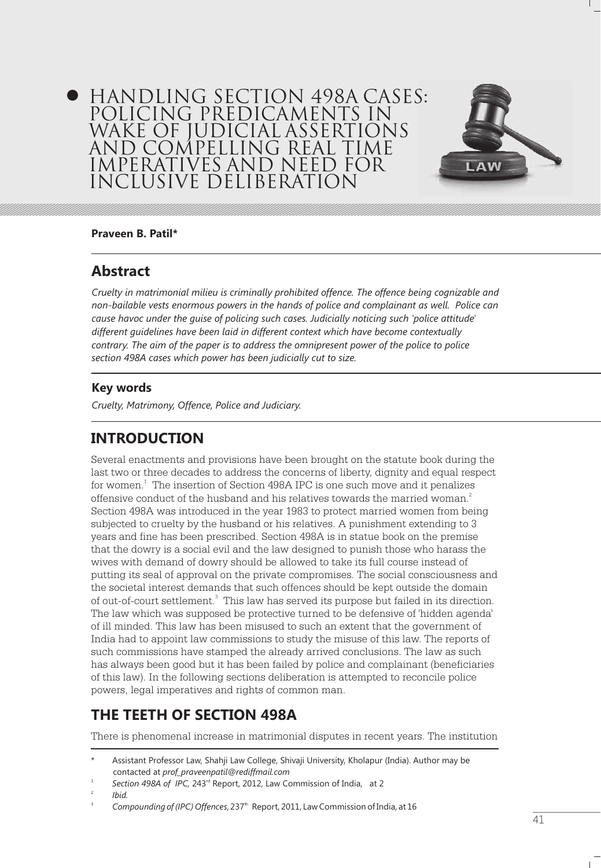# HANDLING SECTION 498A CASES: POLICING PREDICAMENTS IN WAKE OF JUDICIAL ASSERTIONS AND COMPELLING REAL TIME IMPERATIVES AND NEED FOR INCLUSIVE DELIBERATION



### **Praveen B. Patil\***

## **Abstract**

*Cruelty in matrimonial milieu is criminally prohibited offence. The offence being cognizable and non-bailable vests enormous powers in the hands of police and complainant as well. Police can cause havoc under the guise of policing such cases. Judicially noticing such 'police attitude' different guidelines have been laid in different context which have become contextually contrary. The aim of the paper is to address the omnipresent power of the police to police section 498A cases which power has been judicially cut to size.*

### **Key words**

*Cruelty, Matrimony, Offence, Police and Judiciary.*

# **INTRODUCTION**

Several enactments and provisions have been brought on the statute book during the last two or three decades to address the concerns of liberty, dignity and equal respect for women.<sup>1</sup> The insertion of Section 498A IPC is one such move and it penalizes offensive conduct of the husband and his relatives towards the married woman. $^2$ Section 498A was introduced in the year 1983 to protect married women from being subjected to cruelty by the husband or his relatives. A punishment extending to 3 years and fine has been prescribed. Section 498A is in statue book on the premise that the dowry is a social evil and the law designed to punish those who harass the wives with demand of dowry should be allowed to take its full course instead of putting its seal of approval on the private compromises. The social consciousness and the societal interest demands that such offences should be kept outside the domain of out-of-court settlement.<sup>3</sup> This law has served its purpose but failed in its direction. The law which was supposed be protective turned to be defensive of 'hidden agenda' of ill minded. This law has been misused to such an extent that the government of India had to appoint law commissions to study the misuse of this law. The reports of such commissions have stamped the already arrived conclusions. The law as such has always been good but it has been failed by police and complainant (beneficiaries of this law). In the following sections deliberation is attempted to reconcile police powers, legal imperatives and rights of common man.

# **THE TEETH OF SECTION 498A**

There is phenomenal increase in matrimonial disputes in recent years. The institution

Assistant Professor Law, Shahji Law College, Shivaji University, Kholapur (India). Author may be contacted at *prof\_praveenpatil@rediffmail.com*

Section 498A of *IPC*, 243<sup>rd</sup> Report, 2012, Law Commission of India, at 2

<sup>2</sup> *Ibid.*

Compounding of (IPC) Offences, 237<sup>th</sup> Report, 2011, Law Commission of India, at 16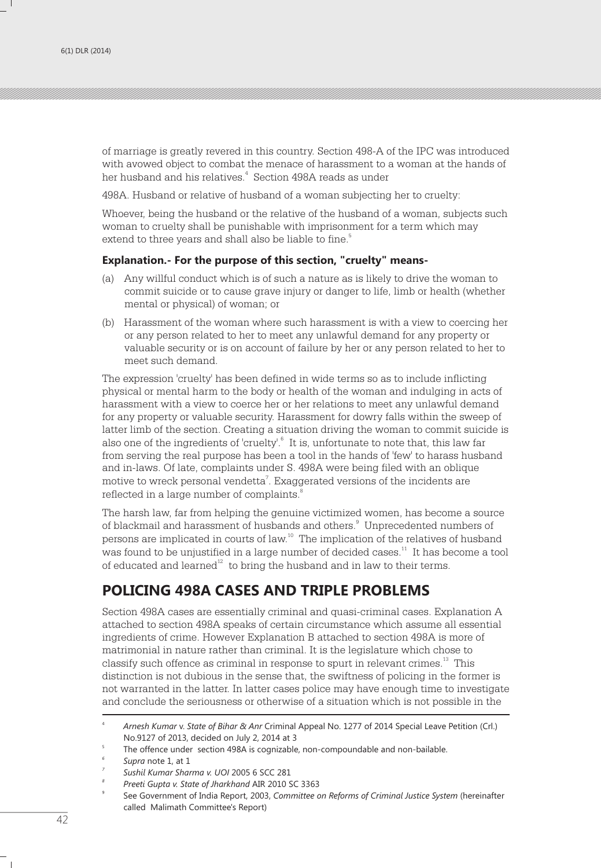of marriage is greatly revered in this country. Section 498-A of the IPC was introduced with avowed object to combat the menace of harassment to a woman at the hands of her husband and his relatives. $^{\text{4}}\,$  Section 498A reads as under

498A. Husband or relative of husband of a woman subjecting her to cruelty:

Whoever, being the husband or the relative of the husband of a woman, subjects such woman to cruelty shall be punishable with imprisonment for a term which may extend to three years and shall also be liable to fine. $^{\mathrm{5}}$ 

#### **Explanation.- For the purpose of this section, "cruelty" means-**

- (a) Any willful conduct which is of such a nature as is likely to drive the woman to commit suicide or to cause grave injury or danger to life, limb or health (whether mental or physical) of woman; or
- (b) Harassment of the woman where such harassment is with a view to coercing her or any person related to her to meet any unlawful demand for any property or valuable security or is on account of failure by her or any person related to her to meet such demand.

The expression 'cruelty' has been defined in wide terms so as to include inflicting physical or mental harm to the body or health of the woman and indulging in acts of harassment with a view to coerce her or her relations to meet any unlawful demand for any property or valuable security. Harassment for dowry falls within the sweep of latter limb of the section. Creating a situation driving the woman to commit suicide is also one of the ingredients of 'cruelty'.<sup>6</sup> It is, unfortunate to note that, this law far from serving the real purpose has been a tool in the hands of 'few' to harass husband and in-laws. Of late, complaints under S. 498A were being filed with an oblique motive to wreck personal vendetta<sup>7</sup>. Exaggerated versions of the incidents are 8 reflected in a large number of complaints.

The harsh law, far from helping the genuine victimized women, has become a source of blackmail and harassment of husbands and others.<sup>9</sup> Unprecedented numbers of persons are implicated in courts of law.<sup>10</sup> The implication of the relatives of husband was found to be unjustified in a large number of decided cases.<sup>11</sup> It has become a tool of educated and learned $12$  to bring the husband and in law to their terms.

# **POLICING 498A CASES AND TRIPLE PROBLEMS**

Section 498A cases are essentially criminal and quasi-criminal cases. Explanation A attached to section 498A speaks of certain circumstance which assume all essential ingredients of crime. However Explanation B attached to section 498A is more of matrimonial in nature rather than criminal. It is the legislature which chose to classify such offence as criminal in response to spurt in relevant crimes.<sup>13</sup> This distinction is not dubious in the sense that, the swiftness of policing in the former is not warranted in the latter. In latter cases police may have enough time to investigate and conclude the seriousness or otherwise of a situation which is not possible in the

<sup>4</sup> *Arnesh Kumar* v. *State of Bihar & Anr* Criminal Appeal No. 1277 of 2014 Special Leave Petition (Crl.) No.9127 of 2013, decided on July 2, 2014 at 3

<sup>5</sup> The offence under section 498A is cognizable, non-compoundable and non-bailable.

*<sup>6</sup> Supra* note 1, at 1

*<sup>7</sup> Sushil Kumar Sharma v. UOI* 2005 6 SCC 281

*<sup>8</sup> Preeti Gupta v. State of Jharkhand* AIR 2010 SC 3363

<sup>9</sup> See Government of India Report, 2003, *Committee on Reforms of Criminal Justice System* (hereinafter called Malimath Committee's Report)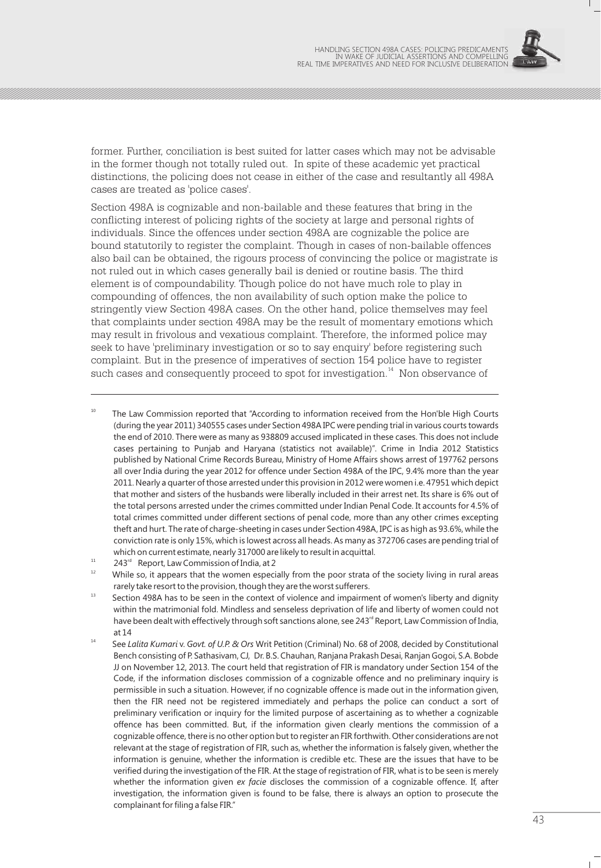

former. Further, conciliation is best suited for latter cases which may not be advisable in the former though not totally ruled out. In spite of these academic yet practical distinctions, the policing does not cease in either of the case and resultantly all 498A cases are treated as 'police cases'.

Section 498A is cognizable and non-bailable and these features that bring in the conflicting interest of policing rights of the society at large and personal rights of individuals. Since the offences under section 498A are cognizable the police are bound statutorily to register the complaint. Though in cases of non-bailable offences also bail can be obtained, the rigours process of convincing the police or magistrate is not ruled out in which cases generally bail is denied or routine basis. The third element is of compoundability. Though police do not have much role to play in compounding of offences, the non availability of such option make the police to stringently view Section 498A cases. On the other hand, police themselves may feel that complaints under section 498A may be the result of momentary emotions which may result in frivolous and vexatious complaint. Therefore, the informed police may seek to have 'preliminary investigation or so to say enquiry' before registering such complaint. But in the presence of imperatives of section 154 police have to register such cases and consequently proceed to spot for investigation.<sup>14</sup> Non observance of

The Law Commission reported that "According to information received from the Hon'ble High Courts (during the year 2011) 340555 cases under Section 498A IPC were pending trial in various courts towards the end of 2010. There were as many as 938809 accused implicated in these cases. This does not include cases pertaining to Punjab and Haryana (statistics not available)". Crime in India 2012 Statistics published by National Crime Records Bureau, Ministry of Home Affairs shows arrest of 197762 persons all over India during the year 2012 for offence under Section 498A of the IPC, 9.4% more than the year 2011. Nearly a quarter of those arrested under this provision in 2012 were women i.e. 47951 which depict that mother and sisters of the husbands were liberally included in their arrest net. Its share is 6% out of the total persons arrested under the crimes committed under Indian Penal Code. It accounts for 4.5% of total crimes committed under different sections of penal code, more than any other crimes excepting theft and hurt. The rate of charge-sheeting in cases under Section 498A, IPC is as high as 93.6%, while the conviction rate is only 15%, which is lowest across all heads. As many as 372706 cases are pending trial of which on current estimate, nearly 317000 are likely to result in acquittal.

- <sup>11</sup> 243<sup> $rd$ </sup> Report, Law Commission of India, at 2<sup>12</sup> 14th like the summatrix of India, at 2<sup>12</sup>
- While so, it appears that the women especially from the poor strata of the society living in rural areas rarely take resort to the provision, though they are the worst sufferers.
- <sup>13</sup> Section 498A has to be seen in the context of violence and impairment of women's liberty and dignity within the matrimonial fold. Mindless and senseless deprivation of life and liberty of women could not have been dealt with effectively through soft sanctions alone, see 243<sup>rd</sup> Report, Law Commission of India, at 14
- <sup>14</sup> See *Lalita Kumari* v. *Govt. of U.P. & Ors* Writ Petition (Criminal) No. 68 of 2008, decided by Constitutional Bench consisting of P. Sathasivam, CJ, Dr. B.S. Chauhan, Ranjana Prakash Desai, Ranjan Gogoi, S.A. Bobde JJ on November 12, 2013. The court held that registration of FIR is mandatory under Section 154 of the Code, if the information discloses commission of a cognizable offence and no preliminary inquiry is permissible in such a situation. However, if no cognizable offence is made out in the information given, then the FIR need not be registered immediately and perhaps the police can conduct a sort of preliminary verification or inquiry for the limited purpose of ascertaining as to whether a cognizable offence has been committed. But, if the information given clearly mentions the commission of a cognizable offence, there is no other option but to register an FIR forthwith. Other considerations are not relevant at the stage of registration of FIR, such as, whether the information is falsely given, whether the information is genuine, whether the information is credible etc. These are the issues that have to be verified during the investigation of the FIR. At the stage of registration of FIR, what is to be seen is merely whether the information given *ex facie* discloses the commission of a cognizable offence. If, after investigation, the information given is found to be false, there is always an option to prosecute the complainant for filing a false FIR."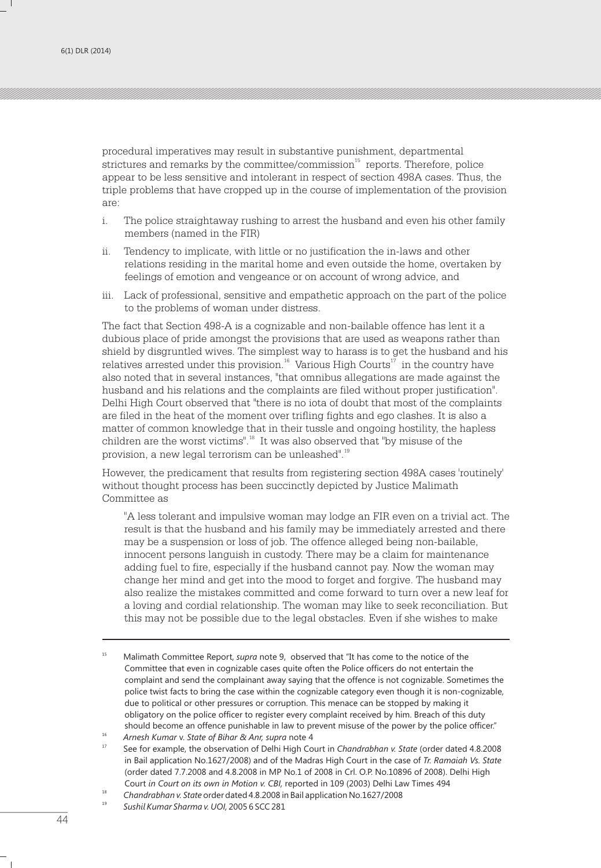procedural imperatives may result in substantive punishment, departmental strictures and remarks by the committee/commission $15$  reports. Therefore, police appear to be less sensitive and intolerant in respect of section 498A cases. Thus, the triple problems that have cropped up in the course of implementation of the provision are:

- i. The police straightaway rushing to arrest the husband and even his other family members (named in the FIR)
- Tendency to implicate, with little or no justification the in-laws and other relations residing in the marital home and even outside the home, overtaken by feelings of emotion and vengeance or on account of wrong advice, and
- iii. Lack of professional, sensitive and empathetic approach on the part of the police to the problems of woman under distress.

The fact that Section 498-A is a cognizable and non-bailable offence has lent it a dubious place of pride amongst the provisions that are used as weapons rather than shield by disgruntled wives. The simplest way to harass is to get the husband and his relatives arrested under this provision.<sup>16</sup> Various High Courts<sup>17</sup> in the country have also noted that in several instances, "that omnibus allegations are made against the husband and his relations and the complaints are filed without proper justification". Delhi High Court observed that "there is no iota of doubt that most of the complaints are filed in the heat of the moment over trifling fights and ego clashes. It is also a matter of common knowledge that in their tussle and ongoing hostility, the hapless children are the worst victims".<sup>18</sup> It was also observed that "by misuse of the provision, a new legal terrorism can be unleashed".<sup>19</sup>

However, the predicament that results from registering section 498A cases 'routinely' without thought process has been succinctly depicted by Justice Malimath Committee as

"A less tolerant and impulsive woman may lodge an FIR even on a trivial act. The result is that the husband and his family may be immediately arrested and there may be a suspension or loss of job. The offence alleged being non-bailable, innocent persons languish in custody. There may be a claim for maintenance adding fuel to fire, especially if the husband cannot pay. Now the woman may change her mind and get into the mood to forget and forgive. The husband may also realize the mistakes committed and come forward to turn over a new leaf for a loving and cordial relationship. The woman may like to seek reconciliation. But this may not be possible due to the legal obstacles. Even if she wishes to make

<sup>15</sup> Malimath Committee Report, *supra* note 9, observed that "It has come to the notice of the Committee that even in cognizable cases quite often the Police officers do not entertain the complaint and send the complainant away saying that the offence is not cognizable. Sometimes the police twist facts to bring the case within the cognizable category even though it is non-cognizable, due to political or other pressures or corruption. This menace can be stopped by making it obligatory on the police officer to register every complaint received by him. Breach of this duty should become an offence punishable in law to prevent misuse of the power by the police officer."

<sup>16</sup> *Arnesh Kumar* v. *State of Bihar & Anr, supra* note 4

<sup>17</sup> See for example, the observation of Delhi High Court in *Chandrabhan v. State* (order dated 4.8.2008 in Bail application No.1627/2008) and of the Madras High Court in the case of *Tr. Ramaiah Vs. State*  (order dated 7.7.2008 and 4.8.2008 in MP No.1 of 2008 in Crl. O.P. No.10896 of 2008). Delhi High Court *in Court on its own in Motion v. CBI,* reported in 109 (2003) Delhi Law Times 494

<sup>18</sup> *Chandrabhan v. State* order dated 4.8.2008 in Bail application No.1627/2008

<sup>19</sup> *Sushil Kumar Sharma v. UOI,* 2005 6 SCC 281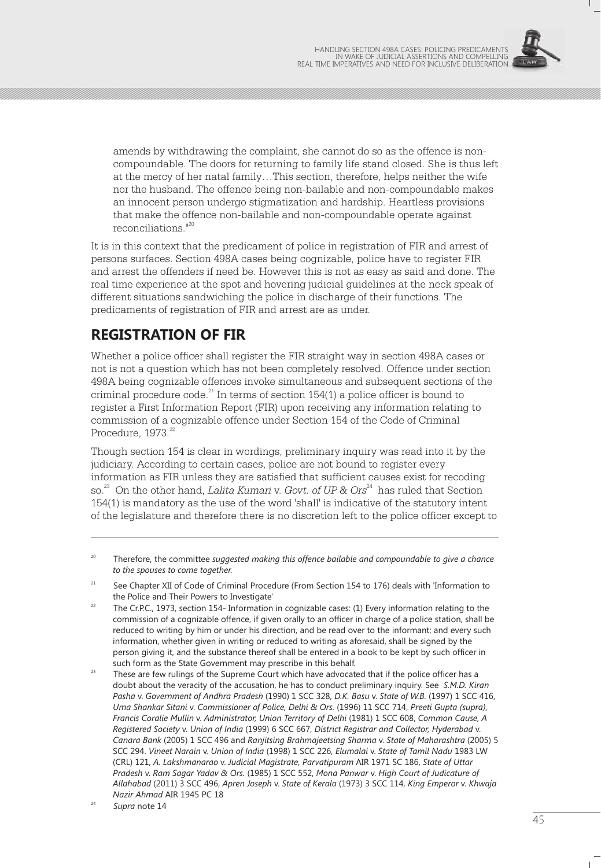

amends by withdrawing the complaint, she cannot do so as the offence is noncompoundable. The doors for returning to family life stand closed. She is thus left at the mercy of her natal family…This section, therefore, helps neither the wife nor the husband. The offence being non-bailable and non-compoundable makes an innocent person undergo stigmatization and hardship. Heartless provisions that make the offence non-bailable and non-compoundable operate against reconciliations."<sup>20</sup>

It is in this context that the predicament of police in registration of FIR and arrest of persons surfaces. Section 498A cases being cognizable, police have to register FIR and arrest the offenders if need be. However this is not as easy as said and done. The real time experience at the spot and hovering judicial guidelines at the neck speak of different situations sandwiching the police in discharge of their functions. The predicaments of registration of FIR and arrest are as under.

# **REGISTRATION OF FIR**

Whether a police officer shall register the FIR straight way in section 498A cases or not is not a question which has not been completely resolved. Offence under section 498A being cognizable offences invoke simultaneous and subsequent sections of the criminal procedure code. $^{21}$  In terms of section 154(1) a police officer is bound to register a First Information Report (FIR) upon receiving any information relating to commission of a cognizable offence under Section 154 of the Code of Criminal Procedure, 1973.<sup>22</sup>

Though section 154 is clear in wordings, preliminary inquiry was read into it by the judiciary. According to certain cases, police are not bound to register every information as FIR unless they are satisfied that sufficient causes exist for recoding so.<sup>23</sup> On the other hand, *Lalita Kumari v. Govt. of UP & Ors<sup>24</sup> has ruled that Section* 154(1) is mandatory as the use of the word 'shall' is indicative of the statutory intent of the legislature and therefore there is no discretion left to the police officer except to

- <sup>22</sup> The Cr.P.C., 1973, section 154- Information in cognizable cases: (1) Every information relating to the commission of a cognizable offence, if given orally to an officer in charge of a police station, shall be reduced to writing by him or under his direction, and be read over to the informant; and every such information, whether given in writing or reduced to writing as aforesaid, shall be signed by the person giving it, and the substance thereof shall be entered in a book to be kept by such officer in such form as the State Government may prescribe in this behalf.
- 23 These are few rulings of the Supreme Court which have advocated that if the police officer has a doubt about the veracity of the accusation, he has to conduct preliminary inquiry. See *S.M.D. Kiran Pasha* v. *Government of Andhra Pradesh* (1990) 1 SCC 328, *D.K. Basu* v. *State of W.B.* (1997) 1 SCC 416, *Uma Shankar Sitani* v. *Commissioner of Police, Delhi & Ors.* (1996) 11 SCC 714, *Preeti Gupta (supra)*, *Francis Coralie Mullin* v. *Administrator, Union Territory of Delhi* (1981) 1 SCC 608, *Common Cause, A Registered Society* v. *Union of India* (1999) 6 SCC 667, *District Registrar and Collector, Hyderabad* v. *Canara Bank* (2005) 1 SCC 496 and *Ranjitsing Brahmajeetsing Sharma* v. *State of Maharashtra* (2005) 5 SCC 294. *Vineet Narain* v. *Union of India* (1998) 1 SCC 226, *Elumalai* v. *State of Tamil Nadu* 1983 LW (CRL) 121, *A. Lakshmanarao* v. *Judicial Magistrate, Parvatipuram* AIR 1971 SC 186, *State of Uttar Pradesh* v. *Ram Sagar Yadav & Ors.* (1985) 1 SCC 552, *Mona Panwar* v. *High Court of Judicature of Allahabad* (2011) 3 SCC 496, *Apren Joseph* v. *State of Kerala* (1973) 3 SCC 114, *King Emperor* v. *Khwaja Nazir Ahmad* AIR 1945 PC 18

<sup>&</sup>lt;sup>20</sup> Therefore, the committee *suggested making this offence bailable and compoundable to give a chance to the spouses to come together.*

<sup>&</sup>lt;sup>21</sup> See Chapter XII of Code of Criminal Procedure (From Section 154 to 176) deals with 'Information to the Police and Their Powers to Investigate'

<sup>24</sup> *Supra* note 14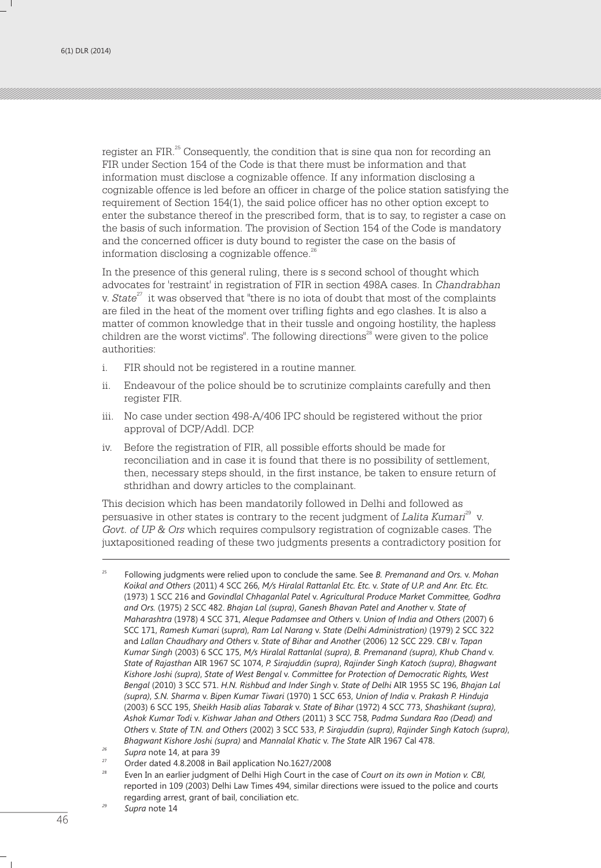register an FIR.<sup>25</sup> Consequently, the condition that is sine qua non for recording an FIR under Section 154 of the Code is that there must be information and that information must disclose a cognizable offence. If any information disclosing a cognizable offence is led before an officer in charge of the police station satisfying the requirement of Section 154(1), the said police officer has no other option except to enter the substance thereof in the prescribed form, that is to say, to register a case on the basis of such information. The provision of Section 154 of the Code is mandatory and the concerned officer is duty bound to register the case on the basis of information disclosing a cognizable offence.<sup>26</sup>

In the presence of this general ruling, there is s second school of thought which advocates for 'restraint' in registration of FIR in section 498A cases. In *Chandrabhan*  v. *State<sup>27</sup>* it was observed that "there is no iota of doubt that most of the complaints are filed in the heat of the moment over trifling fights and ego clashes. It is also a matter of common knowledge that in their tussle and ongoing hostility, the hapless children are the worst victims". The following directions $^{\text{28}}$  were given to the police authorities:

- i. FIR should not be registered in a routine manner.
- ii. Endeavour of the police should be to scrutinize complaints carefully and then register FIR.
- iii. No case under section 498-A/406 IPC should be registered without the prior approval of DCP/Addl. DCP.
- iv. Before the registration of FIR, all possible efforts should be made for reconciliation and in case it is found that there is no possibility of settlement, then, necessary steps should, in the first instance, be taken to ensure return of sthridhan and dowry articles to the complainant.

This decision which has been mandatorily followed in Delhi and followed as <sup>29</sup> persuasive in other states is contrary to the recent judgment of *Lalita Kumari* v. *Govt. of UP & Ors* which requires compulsory registration of cognizable cases. The juxtapositioned reading of these two judgments presents a contradictory position for

<sup>25</sup> Following judgments were relied upon to conclude the same. See *B. Premanand and Ors.* v. *Mohan Koikal and Others* (2011) 4 SCC 266, *M/s Hiralal Rattanlal Etc. Etc.* v. *State of U.P. and Anr. Etc. Etc.*  (1973) 1 SCC 216 and *Govindlal Chhaganlal Patel* v. *Agricultural Produce Market Committee, Godhra and Ors.* (1975) 2 SCC 482. *Bhajan Lal (supra)*, *Ganesh Bhavan Patel and Another* v. *State of Maharashtra* (1978) 4 SCC 371, *Aleque Padamsee and Others* v. *Union of India and Others* (2007) 6 SCC 171, *Ramesh Kumari* (*supra*), *Ram Lal Narang* v. *State (Delhi Administration)* (1979) 2 SCC 322 and *Lallan Chaudhary and Others* v. *State of Bihar and Another* (2006) 12 SCC 229. *CBI* v. *Tapan Kumar Singh* (2003) 6 SCC 175, *M/s Hiralal Rattanlal (supra)*, *B. Premanand (supra)*, *Khub Chand* v. *State of Rajasthan* AIR 1967 SC 1074, *P. Sirajuddin (supra)*, *Rajinder Singh Katoch (supra)*, *Bhagwant Kishore Joshi (supra)*, *State of West Bengal* v. *Committee for Protection of Democratic Rights, West Bengal* (2010) 3 SCC 571. *H.N. Rishbud and Inder Singh* v. *State of Delhi* AIR 1955 SC 196, *Bhajan Lal (supra)*, *S.N. Sharma* v. *Bipen Kumar Tiwari* (1970) 1 SCC 653, *Union of India* v. *Prakash P. Hinduja*  (2003) 6 SCC 195, *Sheikh Hasib alias Tabarak* v. *State of Bihar* (1972) 4 SCC 773, *Shashikant (supra)*, *Ashok Kumar Todi* v. *Kishwar Jahan and Others* (2011) 3 SCC 758, *Padma Sundara Rao (Dead) and Others* v. *State of T.N. and Others* (2002) 3 SCC 533, *P. Sirajuddin (supra)*, *Rajinder Singh Katoch (supra)*, *Bhagwant Kishore Joshi (supra)* and *Mannalal Khatic* v. *The State* AIR 1967 Cal 478.

*<sup>26</sup> Supra* note 14, at para 39

<sup>&</sup>lt;sup>27</sup> Order dated 4.8.2008 in Bail application No.1627/2008

<sup>28</sup> Even In an earlier judgment of Delhi High Court in the case of *Court on its own in Motion v. CBI,*  reported in 109 (2003) Delhi Law Times 494, similar directions were issued to the police and courts regarding arrest, grant of bail, conciliation etc.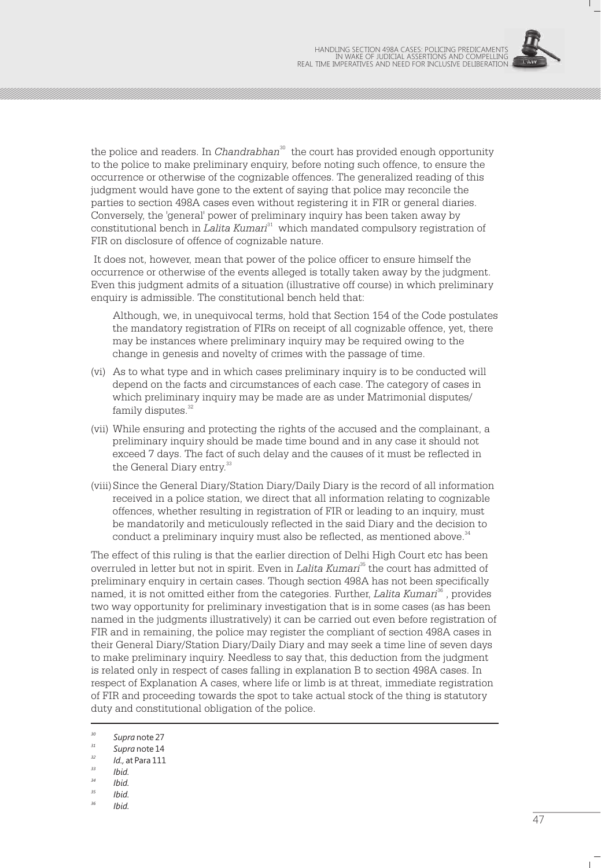

the police and readers. In *Chandrabhan*<sup>30</sup> the court has provided enough opportunity to the police to make preliminary enquiry, before noting such offence, to ensure the occurrence or otherwise of the cognizable offences. The generalized reading of this judgment would have gone to the extent of saying that police may reconcile the parties to section 498A cases even without registering it in FIR or general diaries. Conversely, the 'general' power of preliminary inquiry has been taken away by <sup>31</sup> constitutional bench in *Lalita Kumari* which mandated compulsory registration of FIR on disclosure of offence of cognizable nature.

 It does not, however, mean that power of the police officer to ensure himself the occurrence or otherwise of the events alleged is totally taken away by the judgment. Even this judgment admits of a situation (illustrative off course) in which preliminary enquiry is admissible. The constitutional bench held that:

Although, we, in unequivocal terms, hold that Section 154 of the Code postulates the mandatory registration of FIRs on receipt of all cognizable offence, yet, there may be instances where preliminary inquiry may be required owing to the change in genesis and novelty of crimes with the passage of time.

- (vi) As to what type and in which cases preliminary inquiry is to be conducted will depend on the facts and circumstances of each case. The category of cases in which preliminary inquiry may be made are as under Matrimonial disputes/ family disputes.<sup>32</sup>
- (vii) While ensuring and protecting the rights of the accused and the complainant, a preliminary inquiry should be made time bound and in any case it should not exceed 7 days. The fact of such delay and the causes of it must be reflected in the General Diary entry.<sup>33</sup>
- (viii)Since the General Diary/Station Diary/Daily Diary is the record of all information received in a police station, we direct that all information relating to cognizable offences, whether resulting in registration of FIR or leading to an inquiry, must be mandatorily and meticulously reflected in the said Diary and the decision to conduct a preliminary inquiry must also be reflected, as mentioned above.<sup>34</sup>

The effect of this ruling is that the earlier direction of Delhi High Court etc has been overruled in letter but not in spirit. Even in *Lalita Kumari<sup>35</sup> the court has admitted of* preliminary enquiry in certain cases. Though section 498A has not been specifically named, it is not omitted either from the categories. Further, *Lalita Kumari*<sup>36</sup>, provides two way opportunity for preliminary investigation that is in some cases (as has been named in the judgments illustratively) it can be carried out even before registration of FIR and in remaining, the police may register the compliant of section 498A cases in their General Diary/Station Diary/Daily Diary and may seek a time line of seven days to make preliminary inquiry. Needless to say that, this deduction from the judgment is related only in respect of cases falling in explanation B to section 498A cases. In respect of Explanation A cases, where life or limb is at threat, immediate registration of FIR and proceeding towards the spot to take actual stock of the thing is statutory duty and constitutional obligation of the police.

- *<sup>34</sup> Ibid.*
- *<sup>35</sup> Ibid.*
- *<sup>36</sup> Ibid.*

*<sup>30</sup> Supra* note 27

*<sup>31</sup> Supra* note 14

*<sup>32</sup> Id.,* at Para 111

*<sup>33</sup> Ibid.*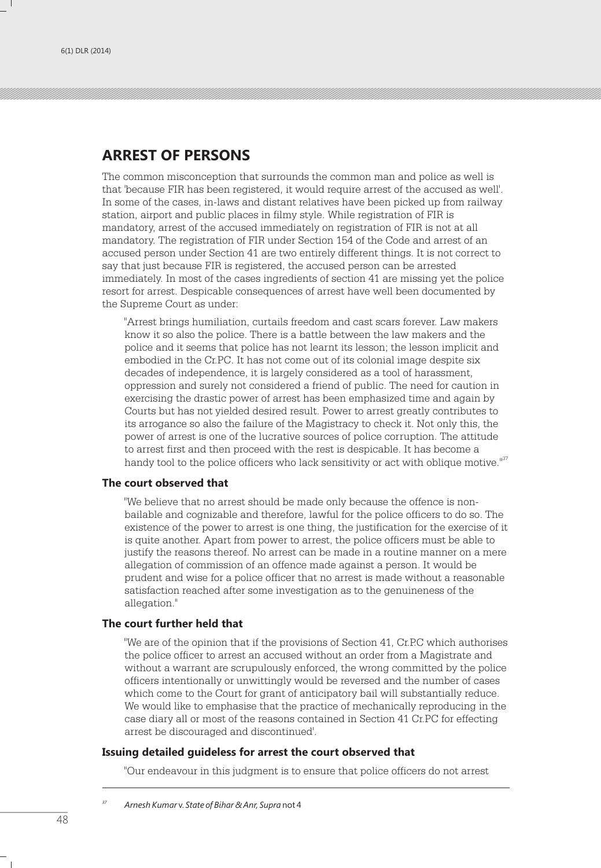## **ARREST OF PERSONS**

The common misconception that surrounds the common man and police as well is that 'because FIR has been registered, it would require arrest of the accused as well'. In some of the cases, in-laws and distant relatives have been picked up from railway station, airport and public places in filmy style. While registration of FIR is mandatory, arrest of the accused immediately on registration of FIR is not at all mandatory. The registration of FIR under Section 154 of the Code and arrest of an accused person under Section 41 are two entirely different things. It is not correct to say that just because FIR is registered, the accused person can be arrested immediately. In most of the cases ingredients of section 41 are missing yet the police resort for arrest. Despicable consequences of arrest have well been documented by the Supreme Court as under:

"Arrest brings humiliation, curtails freedom and cast scars forever. Law makers know it so also the police. There is a battle between the law makers and the police and it seems that police has not learnt its lesson; the lesson implicit and embodied in the Cr.PC. It has not come out of its colonial image despite six decades of independence, it is largely considered as a tool of harassment, oppression and surely not considered a friend of public. The need for caution in exercising the drastic power of arrest has been emphasized time and again by Courts but has not yielded desired result. Power to arrest greatly contributes to its arrogance so also the failure of the Magistracy to check it. Not only this, the power of arrest is one of the lucrative sources of police corruption. The attitude to arrest first and then proceed with the rest is despicable. It has become a handy tool to the police officers who lack sensitivity or act with oblique motive."<sup>37</sup>

#### **The court observed that**

"We believe that no arrest should be made only because the offence is nonbailable and cognizable and therefore, lawful for the police officers to do so. The existence of the power to arrest is one thing, the justification for the exercise of it is quite another. Apart from power to arrest, the police officers must be able to justify the reasons thereof. No arrest can be made in a routine manner on a mere allegation of commission of an offence made against a person. It would be prudent and wise for a police officer that no arrest is made without a reasonable satisfaction reached after some investigation as to the genuineness of the allegation."

### **The court further held that**

"We are of the opinion that if the provisions of Section 41, Cr.P.C which authorises the police officer to arrest an accused without an order from a Magistrate and without a warrant are scrupulously enforced, the wrong committed by the police officers intentionally or unwittingly would be reversed and the number of cases which come to the Court for grant of anticipatory bail will substantially reduce. We would like to emphasise that the practice of mechanically reproducing in the case diary all or most of the reasons contained in Section 41 Cr.PC for effecting arrest be discouraged and discontinued'.

#### **Issuing detailed guideless for arrest the court observed that**

"Our endeavour in this judgment is to ensure that police officers do not arrest

*<sup>37</sup> Arnesh Kumar* v. *State of Bihar & Anr, Supra* not 4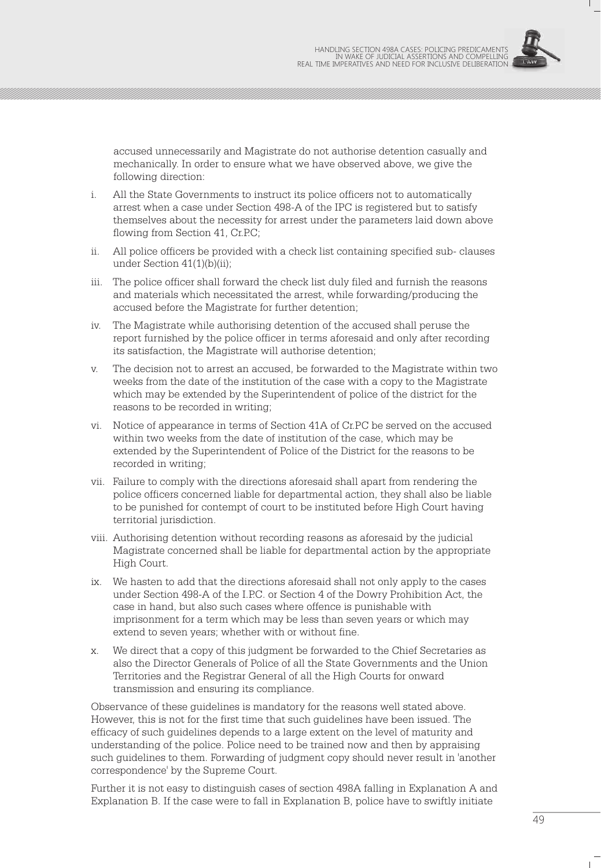

accused unnecessarily and Magistrate do not authorise detention casually and mechanically. In order to ensure what we have observed above, we give the following direction:

- i. All the State Governments to instruct its police officers not to automatically arrest when a case under Section 498-A of the IPC is registered but to satisfy themselves about the necessity for arrest under the parameters laid down above flowing from Section 41, Cr.P.C;
- ii. All police officers be provided with a check list containing specified sub- clauses under Section 41(1)(b)(ii);
- iii. The police officer shall forward the check list duly filed and furnish the reasons and materials which necessitated the arrest, while forwarding/producing the accused before the Magistrate for further detention;
- iv. The Magistrate while authorising detention of the accused shall peruse the report furnished by the police officer in terms aforesaid and only after recording its satisfaction, the Magistrate will authorise detention;
- v. The decision not to arrest an accused, be forwarded to the Magistrate within two weeks from the date of the institution of the case with a copy to the Magistrate which may be extended by the Superintendent of police of the district for the reasons to be recorded in writing;
- vi. Notice of appearance in terms of Section 41A of Cr.PC be served on the accused within two weeks from the date of institution of the case, which may be extended by the Superintendent of Police of the District for the reasons to be recorded in writing;
- vii. Failure to comply with the directions aforesaid shall apart from rendering the police officers concerned liable for departmental action, they shall also be liable to be punished for contempt of court to be instituted before High Court having territorial jurisdiction.
- viii. Authorising detention without recording reasons as aforesaid by the judicial Magistrate concerned shall be liable for departmental action by the appropriate High Court.
- ix. We hasten to add that the directions aforesaid shall not only apply to the cases under Section 498-A of the I.P.C. or Section 4 of the Dowry Prohibition Act, the case in hand, but also such cases where offence is punishable with imprisonment for a term which may be less than seven years or which may extend to seven years; whether with or without fine.
- x. We direct that a copy of this judgment be forwarded to the Chief Secretaries as also the Director Generals of Police of all the State Governments and the Union Territories and the Registrar General of all the High Courts for onward transmission and ensuring its compliance.

Observance of these guidelines is mandatory for the reasons well stated above. However, this is not for the first time that such guidelines have been issued. The efficacy of such guidelines depends to a large extent on the level of maturity and understanding of the police. Police need to be trained now and then by appraising such guidelines to them. Forwarding of judgment copy should never result in 'another correspondence' by the Supreme Court.

Further it is not easy to distinguish cases of section 498A falling in Explanation A and Explanation B. If the case were to fall in Explanation B, police have to swiftly initiate